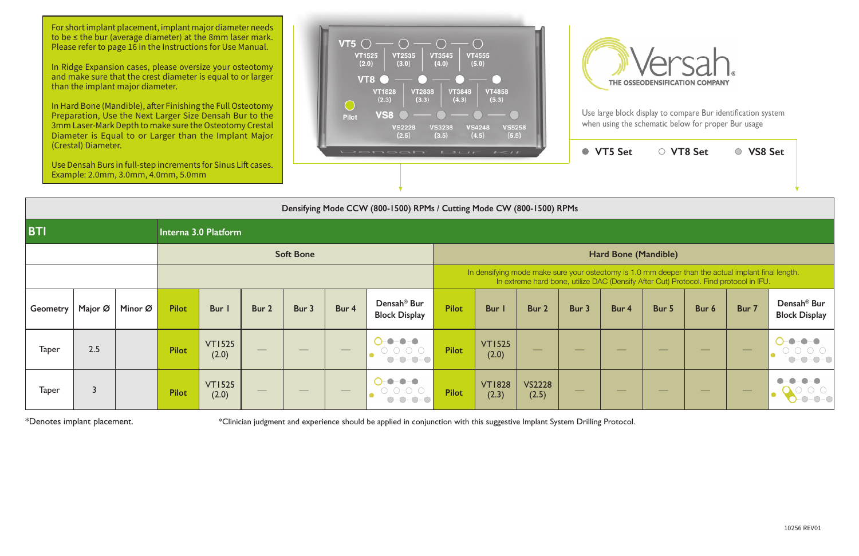For short implant placement, implant major diameter needs to be ≤ the bur (average diameter) at the 8mm laser mark. Please refer to page 16 in the Instructions for Use Manual.

In Hard Bone (Mandible), after Finishing the Full Osteotomy Preparation, Use the Next Larger Size Densah Bur to the 3mm Laser-Mark Depth to make sure the Osteotomy Crestal Diameter is Equal to or Larger than the Implant Major

In Ridge Expansion cases, please oversize your osteotomy and make sure that the crest diameter is equal to or larger than the implant major diameter.





|                 | (Crestal) Diameter. | Example: 2.0mm, 3.0mm, 4.0mm, 5.0mm |              | Use Densah Burs in full-step increments for Sinus Lift cases. |                   |                                 |                   | <b>LOCATICALLY EBLIF</b>                                                                                      | $1 - 11$                                                                                                                                                                                    |                        | ● VT5 Set              | ○ VT8 Set         |       | ○ VS8 Set                |               |               |                                                 |  |  |
|-----------------|---------------------|-------------------------------------|--------------|---------------------------------------------------------------|-------------------|---------------------------------|-------------------|---------------------------------------------------------------------------------------------------------------|---------------------------------------------------------------------------------------------------------------------------------------------------------------------------------------------|------------------------|------------------------|-------------------|-------|--------------------------|---------------|---------------|-------------------------------------------------|--|--|
|                 |                     |                                     |              |                                                               |                   |                                 |                   | Densifying Mode CCW (800-1500) RPMs / Cutting Mode CW (800-1500) RPMs                                         |                                                                                                                                                                                             |                        |                        |                   |       |                          |               |               |                                                 |  |  |
| <b>BTI</b>      |                     |                                     |              | Interna 3.0 Platform                                          |                   |                                 |                   |                                                                                                               |                                                                                                                                                                                             |                        |                        |                   |       |                          |               |               |                                                 |  |  |
|                 |                     |                                     |              |                                                               |                   | <b>Soft Bone</b>                |                   |                                                                                                               | Hard Bone (Mandible)                                                                                                                                                                        |                        |                        |                   |       |                          |               |               |                                                 |  |  |
|                 |                     |                                     |              |                                                               |                   |                                 |                   |                                                                                                               | In densifying mode make sure your osteotomy is 1.0 mm deeper than the actual implant final length.<br>In extreme hard bone, utilize DAC (Densify After Cut) Protocol. Find protocol in IFU. |                        |                        |                   |       |                          |               |               |                                                 |  |  |
| <b>Geometry</b> | Major Ø             | Minor Ø                             | <b>Pilot</b> | Bur I                                                         | Bur 2             | Bur 3                           | Bur 4             | Densah <sup>®</sup> Bur<br><b>Block Display</b>                                                               | <b>Pilot</b>                                                                                                                                                                                | <b>Bur</b> I           | Bur 2                  | Bur 3             | Bur 4 | Bur 5                    | Bur 6         | Bur 7         | Densah <sup>®</sup> Bur<br><b>Block Display</b> |  |  |
| <b>Taper</b>    | 2.5                 |                                     | <b>Pilot</b> | <b>VT1525</b><br>(2.0)                                        |                   |                                 |                   | $-$<br>$\bullet$<br>$\begin{array}{ccc} \circ & \circ & \circ & \circ \end{array}$<br>$ \bigcirc$ $ \bigcirc$ | <b>Pilot</b>                                                                                                                                                                                | <b>VT1525</b><br>(2.0) |                        |                   |       |                          |               |               |                                                 |  |  |
| <b>Taper</b>    | $\overline{3}$      |                                     | <b>Pilot</b> | <b>VT1525</b><br>(2.0)                                        | $\hspace{0.05cm}$ | $\hspace{0.1mm}-\hspace{0.1mm}$ | $\hspace{0.05cm}$ | $  -$<br>$\bullet$<br>$-0-0-0$<br>$(\ )$                                                                      | <b>Pilot</b>                                                                                                                                                                                | <b>VT1828</b><br>(2.3) | <b>VS2228</b><br>(2.5) | $\hspace{0.05cm}$ |       | $\overline{\phantom{a}}$ | $\frac{1}{2}$ | $\frac{1}{2}$ |                                                 |  |  |

\*Denotes implant placement. \*Clinician judgment and experience should be applied in conjunction with this suggestive Implant System Drilling Protocol.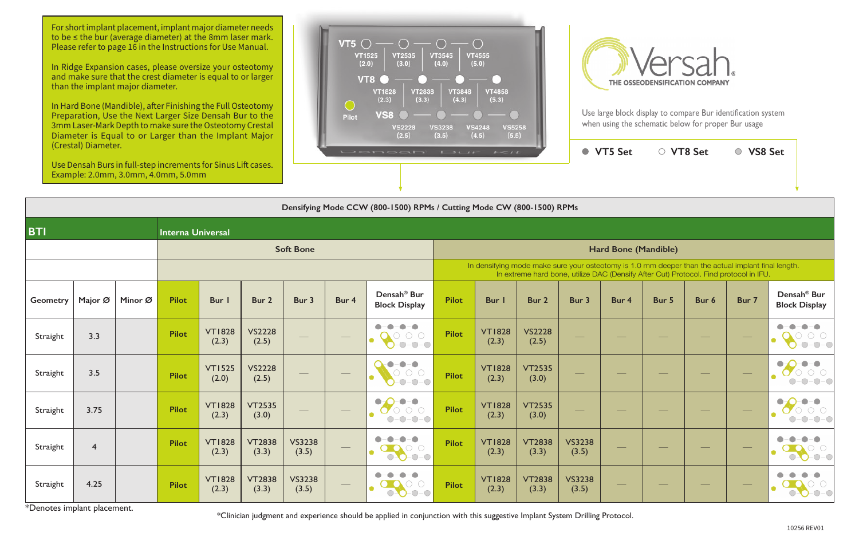For short implant placement, implant major diameter needs to be ≤ the bur (average diameter) at the 8mm laser mark. Please refer to page 16 in the Instructions for Use Manual.

In Ridge Expansion cases, please oversize your osteotomy and make sure that the crest diameter is equal to or larger than the implant major diameter.

In Hard Bone (Mandible), after Finishing the Full Osteotomy Preparation, Use the Next Larger Size Densah Bur to the 3mm Laser-Mark Depth to make sure the Osteotomy Crestal Diameter is Equal to or Larger than the Implant Major





|                 | (Crestal) Diameter. | Example: 2.0mm, 3.0mm, 4.0mm, 5.0mm |                          | Use Densah Burs in full-step increments for Sinus Lift cases. |                        |                        |       | DONOGIT BUT KIL                                                                                                  |                             |                        | ● VT5 Set              | ○ VT8 Set              |       | ○ VS8 Set |       |                                                                                                                                                                                             |                                                 |  |  |
|-----------------|---------------------|-------------------------------------|--------------------------|---------------------------------------------------------------|------------------------|------------------------|-------|------------------------------------------------------------------------------------------------------------------|-----------------------------|------------------------|------------------------|------------------------|-------|-----------|-------|---------------------------------------------------------------------------------------------------------------------------------------------------------------------------------------------|-------------------------------------------------|--|--|
|                 |                     |                                     |                          |                                                               |                        |                        |       |                                                                                                                  |                             |                        |                        |                        |       |           |       |                                                                                                                                                                                             |                                                 |  |  |
|                 |                     |                                     |                          |                                                               |                        |                        |       | Densifying Mode CCW (800-1500) RPMs / Cutting Mode CW (800-1500) RPMs                                            |                             |                        |                        |                        |       |           |       |                                                                                                                                                                                             |                                                 |  |  |
| <b>BTI</b>      |                     |                                     | <b>Interna Universal</b> |                                                               |                        |                        |       |                                                                                                                  |                             |                        |                        |                        |       |           |       |                                                                                                                                                                                             |                                                 |  |  |
|                 |                     |                                     |                          |                                                               |                        | <b>Soft Bone</b>       |       |                                                                                                                  | <b>Hard Bone (Mandible)</b> |                        |                        |                        |       |           |       |                                                                                                                                                                                             |                                                 |  |  |
|                 |                     |                                     |                          |                                                               |                        |                        |       |                                                                                                                  |                             |                        |                        |                        |       |           |       | In densifying mode make sure your osteotomy is 1.0 mm deeper than the actual implant final length.<br>In extreme hard bone, utilize DAC (Densify After Cut) Protocol. Find protocol in IFU. |                                                 |  |  |
| <b>Geometry</b> | Major Ø             | Minor Ø                             | <b>Pilot</b>             | Bur I                                                         | Bur 2                  | Bur 3                  | Bur 4 | Densah <sup>®</sup> Bur<br><b>Block Display</b>                                                                  | <b>Pilot</b>                | <b>Bur</b> I           | Bur 2                  | Bur 3                  | Bur 4 | Bur 5     | Bur 6 | Bur 7                                                                                                                                                                                       | Densah <sup>®</sup> Bur<br><b>Block Display</b> |  |  |
| Straight        | 3.3                 |                                     | <b>Pilot</b>             | <b>VT1828</b><br>(2.3)                                        | <b>VS2228</b><br>(2.5) |                        |       | $\bullet - \bullet$<br>$\bullet$<br>$\circ$ 0 0<br>$-0-0-0$                                                      | <b>Pilot</b>                | <b>VT1828</b><br>(2.3) | <b>VS2228</b><br>(2.5) |                        |       |           |       |                                                                                                                                                                                             | $-\bullet$<br>$O-O-O$                           |  |  |
| Straight        | 3.5                 |                                     | <b>Pilot</b>             | <b>VT1525</b><br>(2.0)                                        | <b>VS2228</b><br>(2.5) |                        |       | $-\bullet-\bullet$<br>$\bigcirc$<br>$O$ $O$<br>$-0-0-0$                                                          | <b>Pilot</b>                | <b>VT1828</b><br>(2.3) | <b>VT2535</b><br>(3.0) |                        |       |           |       |                                                                                                                                                                                             | -0–0                                            |  |  |
| Straight        | 3.75                |                                     | <b>Pilot</b>             | <b>VT1828</b><br>(2.3)                                        | <b>VT2535</b><br>(3.0) |                        |       | $\bullet - \bullet$<br>$\bullet$<br>$\circ$ $\circ$ $\circ$<br>$\boldsymbol{\sigma}$<br>$-0-0-0$<br>$\bigcirc$ - | <b>Pilot</b>                | <b>VT1828</b><br>(2.3) | <b>VT2535</b><br>(3.0) |                        |       |           |       |                                                                                                                                                                                             | $O$ $O$<br>$-O$ -O<br>$\bigcirc$                |  |  |
| Straight        | $\overline{4}$      |                                     | <b>Pilot</b>             | <b>VT1828</b><br>(2.3)                                        | <b>VT2838</b><br>(3.3) | <b>VS3238</b><br>(3.5) |       | $\bullet$<br>$\bullet-\bullet$<br>$\bullet$<br>$\circ$ $\circ$<br>$0 - 0 - 0$                                    | <b>Pilot</b>                | <b>VT1828</b><br>(2.3) | <b>VT2838</b><br>(3.3) | <b>VS3238</b><br>(3.5) |       |           |       |                                                                                                                                                                                             | ●<br>$\bullet$ 0-0<br>$\bigcirc$                |  |  |
| Straight        | 4.25                |                                     | <b>Pilot</b>             | <b>VT1828</b><br>(2.3)                                        | <b>VT2838</b><br>(3.3) | <b>VS3238</b><br>(3.5) |       | $\bullet$<br>$-O$ - $O$<br>$\bigcirc$                                                                            | <b>Pilot</b>                | <b>VT1828</b><br>(2.3) | <b>VT2838</b><br>(3.3) | <b>VS3238</b><br>(3.5) |       |           |       |                                                                                                                                                                                             |                                                 |  |  |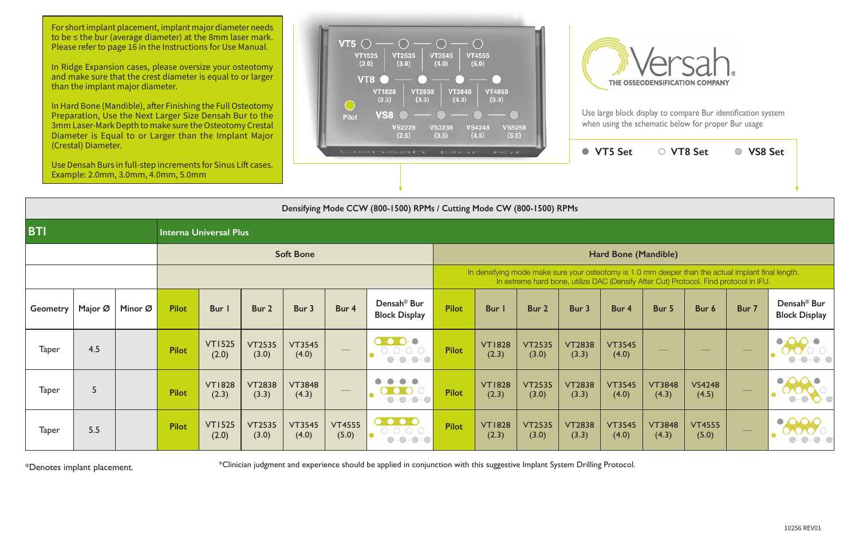For short implant placement, implant major diameter needs to be ≤ the bur (average diameter) at the 8mm laser mark. Please refer to page 16 in the Instructions for Use Manual.

In Hard Bone (Mandible), after Finishing the Full Osteotomy Preparation, Use the Next Larger Size Densah Bur to the 3mm Laser-Mark Depth to make sure the Osteotomy Crestal Diameter is Equal to or Larger than the Implant Major

In Ridge Expansion cases, please oversize your osteotomy and make sure that the crest diameter is equal to or larger than the implant major diameter.





|                 | (Crestal) Diameter. | Use Densah Burs in full-step increments for Sinus Lift cases.<br>Example: 2.0mm, 3.0mm, 4.0mm, 5.0mm |              |                               |                        |                        |                        | Commentation of the contract of the state of the state of the state of the state of the state of the state of the state of the state of the state of the state of the state of the state of the state of the state of the stat                                                                                                                                                                                                                                                                                     |                                                                                                                                                                                             |                        | ● VT5 Set              | ○ VT8 Set              |                        | ○ VS8 Set              |                        |                          |                                                 |  |  |
|-----------------|---------------------|------------------------------------------------------------------------------------------------------|--------------|-------------------------------|------------------------|------------------------|------------------------|--------------------------------------------------------------------------------------------------------------------------------------------------------------------------------------------------------------------------------------------------------------------------------------------------------------------------------------------------------------------------------------------------------------------------------------------------------------------------------------------------------------------|---------------------------------------------------------------------------------------------------------------------------------------------------------------------------------------------|------------------------|------------------------|------------------------|------------------------|------------------------|------------------------|--------------------------|-------------------------------------------------|--|--|
|                 |                     |                                                                                                      |              |                               |                        |                        |                        | Densifying Mode CCW (800-1500) RPMs / Cutting Mode CW (800-1500) RPMs                                                                                                                                                                                                                                                                                                                                                                                                                                              |                                                                                                                                                                                             |                        |                        |                        |                        |                        |                        |                          |                                                 |  |  |
| <b>BTI</b>      |                     |                                                                                                      |              | <b>Interna Universal Plus</b> |                        |                        |                        |                                                                                                                                                                                                                                                                                                                                                                                                                                                                                                                    |                                                                                                                                                                                             |                        |                        |                        |                        |                        |                        |                          |                                                 |  |  |
|                 |                     |                                                                                                      |              |                               |                        | <b>Soft Bone</b>       |                        |                                                                                                                                                                                                                                                                                                                                                                                                                                                                                                                    | Hard Bone (Mandible)                                                                                                                                                                        |                        |                        |                        |                        |                        |                        |                          |                                                 |  |  |
|                 |                     |                                                                                                      |              |                               |                        |                        |                        |                                                                                                                                                                                                                                                                                                                                                                                                                                                                                                                    | In densifying mode make sure your osteotomy is 1.0 mm deeper than the actual implant final length.<br>In extreme hard bone, utilize DAC (Densify After Cut) Protocol. Find protocol in IFU. |                        |                        |                        |                        |                        |                        |                          |                                                 |  |  |
| <b>Geometry</b> | Major Ø             | Minor Ø                                                                                              | <b>Pilot</b> | Bur                           | Bur 2                  | Bur 3                  | Bur 4                  | Densah <sup>®</sup> Bur<br><b>Block Display</b>                                                                                                                                                                                                                                                                                                                                                                                                                                                                    | <b>Pilot</b>                                                                                                                                                                                | <b>Bur</b> I           | Bur 2                  | Bur 3                  | Bur 4                  | Bur 5                  | Bur 6                  | Bur 7                    | Densah <sup>®</sup> Bur<br><b>Block Display</b> |  |  |
| <b>Taper</b>    | 4.5                 |                                                                                                      | <b>Pilot</b> | <b>VT1525</b><br>(2.0)        | <b>VT2535</b><br>(3.0) | <b>VT3545</b><br>(4.0) |                        | $\begin{array}{cccccccccc} \textbf{0} & \textbf{0} & \textbf{0} & \textbf{0} & \textbf{0} & \textbf{0} & \textbf{0} & \textbf{0} & \textbf{0} & \textbf{0} & \textbf{0} & \textbf{0} & \textbf{0} & \textbf{0} & \textbf{0} & \textbf{0} & \textbf{0} & \textbf{0} & \textbf{0} & \textbf{0} & \textbf{0} & \textbf{0} & \textbf{0} & \textbf{0} & \textbf{0} & \textbf{0} & \textbf{0} & \textbf{0} & \textbf{0} & \textbf{0} & \$<br>$\begin{array}{ccc} \circ & \circ & \circ & \circ \end{array}$<br>$O-O-O-O$ | <b>Pilot</b>                                                                                                                                                                                | <b>VT1828</b><br>(2.3) | <b>VT2535</b><br>(3.0) | <b>VT2838</b><br>(3.3) | <b>VT3545</b><br>(4.0) |                        |                        |                          |                                                 |  |  |
| <b>Taper</b>    | 5                   |                                                                                                      | <b>Pilot</b> | <b>VT1828</b><br>(2.3)        | <b>VT2838</b><br>(3.3) | <b>VT3848</b><br>(4.3) |                        |                                                                                                                                                                                                                                                                                                                                                                                                                                                                                                                    | <b>Pilot</b>                                                                                                                                                                                | <b>VT1828</b><br>(2.3) | <b>VT2535</b><br>(3.0) | <b>VT2838</b><br>(3.3) | <b>VT3545</b><br>(4.0) | <b>VT3848</b><br>(4.3) | <b>VS4248</b><br>(4.5) | $\overline{\phantom{0}}$ |                                                 |  |  |
| <b>Taper</b>    | 5.5                 |                                                                                                      | <b>Pilot</b> | <b>VT1525</b><br>(2.0)        | <b>VT2535</b><br>(3.0) | <b>VT3545</b><br>(4.0) | <b>VT4555</b><br>(5.0) | $- - - - -$<br>$\begin{array}{ccc} \circ & \circ & \circ & \circ \end{array}$                                                                                                                                                                                                                                                                                                                                                                                                                                      | Pilot                                                                                                                                                                                       | <b>VT1828</b><br>(2.3) | <b>VT2535</b><br>(3.0) | <b>VT2838</b><br>(3.3) | <b>VT3545</b><br>(4.0) | <b>VT3848</b><br>(4.3) | <b>VT4555</b><br>(5.0) | $\hspace{0.05cm}$        |                                                 |  |  |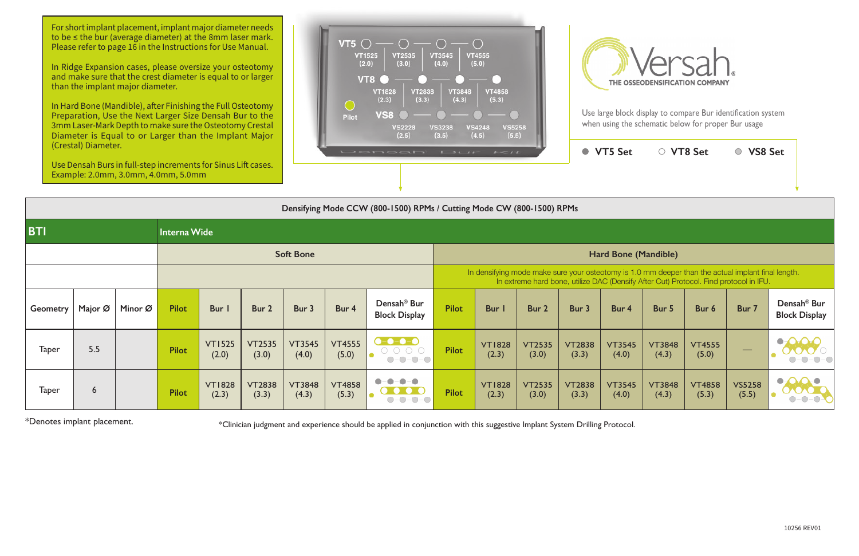For short implant placement, implant major diameter needs to be ≤ the bur (average diameter) at the 8mm laser mark. Please refer to page 16 in the Instructions for Use Manual.

In Hard Bone (Mandible), after Finishing the Full Osteotomy Preparation, Use the Next Larger Size Densah Bur to the 3mm Laser-Mark Depth to make sure the Osteotomy Crestal Diameter is Equal to or Larger than the Implant Major





In Ridge Expansion cases, please oversize your osteotomy and make sure that the crest diameter is equal to or larger than the implant major diameter.

|                 | (Crestal) Diameter. | Use Densah Burs in full-step increments for Sinus Lift cases.<br>Example: 2.0mm, 3.0mm, 4.0mm, 5.0mm |              |                        |                        |                        |                        | Densati Bur Kit                                                                            |                                                                                                                                                                                             |                        | ● VT5 Set              | ○ VT8 Set              |                        | ○ VS8 Set              |                        |                        |                                                 |  |  |  |
|-----------------|---------------------|------------------------------------------------------------------------------------------------------|--------------|------------------------|------------------------|------------------------|------------------------|--------------------------------------------------------------------------------------------|---------------------------------------------------------------------------------------------------------------------------------------------------------------------------------------------|------------------------|------------------------|------------------------|------------------------|------------------------|------------------------|------------------------|-------------------------------------------------|--|--|--|
|                 |                     |                                                                                                      |              |                        |                        |                        |                        | Densifying Mode CCW (800-1500) RPMs / Cutting Mode CW (800-1500) RPMs                      |                                                                                                                                                                                             |                        |                        |                        |                        |                        |                        |                        |                                                 |  |  |  |
| <b>BTI</b>      |                     |                                                                                                      | Interna Wide |                        |                        |                        |                        |                                                                                            |                                                                                                                                                                                             |                        |                        |                        |                        |                        |                        |                        |                                                 |  |  |  |
|                 |                     |                                                                                                      |              |                        |                        | <b>Soft Bone</b>       |                        |                                                                                            | Hard Bone (Mandible)                                                                                                                                                                        |                        |                        |                        |                        |                        |                        |                        |                                                 |  |  |  |
|                 |                     |                                                                                                      |              |                        |                        |                        |                        |                                                                                            | In densifying mode make sure your osteotomy is 1.0 mm deeper than the actual implant final length.<br>In extreme hard bone, utilize DAC (Densify After Cut) Protocol. Find protocol in IFU. |                        |                        |                        |                        |                        |                        |                        |                                                 |  |  |  |
| <b>Geometry</b> | Major Ø             | Minor Ø                                                                                              | <b>Pilot</b> | Bur I                  | Bur 2                  | Bur 3                  | Bur 4                  | Densah <sup>®</sup> Bur<br><b>Block Display</b>                                            | <b>Pilot</b>                                                                                                                                                                                | Bur I                  | Bur 2                  | Bur 3                  | Bur 4                  | Bur 5                  | Bur 6                  | Bur 7                  | Densah <sup>®</sup> Bur<br><b>Block Display</b> |  |  |  |
| <b>Taper</b>    | 5.5                 |                                                                                                      | <b>Pilot</b> | <b>VT1525</b><br>(2.0) | <b>VT2535</b><br>(3.0) | <b>VT3545</b><br>(4.0) | <b>VT4555</b><br>(5.0) | $- - - - -$<br>$\begin{array}{ccc} \circ & \circ & \circ & \circ \end{array}$<br>$O-O-O-O$ | <b>Pilot</b>                                                                                                                                                                                | <b>VT1828</b><br>(2.3) | <b>VT2535</b><br>(3.0) | <b>VT2838</b><br>(3.3) | <b>VT3545</b><br>(4.0) | <b>VT3848</b><br>(4.3) | <b>VT4555</b><br>(5.0) |                        |                                                 |  |  |  |
| <b>Taper</b>    | 6                   |                                                                                                      | <b>Pilot</b> | <b>VT1828</b><br>(2.3) | <b>VT2838</b><br>(3.3) | <b>VT3848</b><br>(4.3) | <b>VT4858</b><br>(5.3) | $-0-0-0$                                                                                   | <b>Pilot</b>                                                                                                                                                                                | <b>VT1828</b><br>(2.3) | <b>VT2535</b><br>(3.0) | <b>VT2838</b><br>(3.3) | <b>VT3545</b><br>(4.0) | <b>VT3848</b><br>(4.3) | <b>VT4858</b><br>(5.3) | <b>VS5258</b><br>(5.5) |                                                 |  |  |  |

\*Denotes implant placement. **The summent of the state of the system** of this suggestive Implant System Drilling Protocol.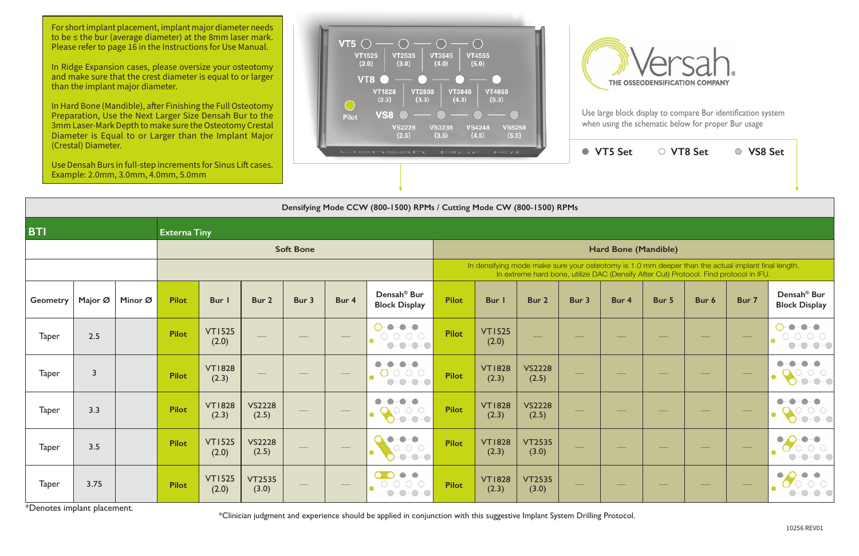For short implant placement, implant major diameter needs to be ≤ the bur (average diameter) at the 8mm laser mark. Please refer to page 16 in the Instructions for Use Manual.

In Ridge Expansion cases, please oversize your osteotomy and make sure that the crest diameter is equal to or larger than the implant major diameter.

In Hard Bone (Mandible), after Finishing the Full Osteotomy Preparation, Use the Next Larger Size Densah Bur to the 3mm Laser-Mark Depth to make sure the Osteotomy Crestal Diameter is Equal to or Larger than the Implant Major





Use large block display to compare Bur identification system when using the schematic below for proper Bur usage

|              | (Crestal) Diameter. | Example: 2.0mm, 3.0mm, 4.0mm, 5.0mm |                     | Use Densah Burs in full-step increments for Sinus Lift cases. |                        |                  |       | DONOGIT BUT KIL                                                                                                                                                                                                                                                                                                                                                                                                                                                                       |                      |                        | ● VT5 Set                                                                                                                                                                                   | ○ VT8 Set |       | ○ VS8 Set |       |                          |                                                                                                                                                           |  |  |  |
|--------------|---------------------|-------------------------------------|---------------------|---------------------------------------------------------------|------------------------|------------------|-------|---------------------------------------------------------------------------------------------------------------------------------------------------------------------------------------------------------------------------------------------------------------------------------------------------------------------------------------------------------------------------------------------------------------------------------------------------------------------------------------|----------------------|------------------------|---------------------------------------------------------------------------------------------------------------------------------------------------------------------------------------------|-----------|-------|-----------|-------|--------------------------|-----------------------------------------------------------------------------------------------------------------------------------------------------------|--|--|--|
|              |                     |                                     |                     |                                                               |                        |                  |       | Densifying Mode CCW (800-1500) RPMs / Cutting Mode CW (800-1500) RPMs                                                                                                                                                                                                                                                                                                                                                                                                                 |                      |                        |                                                                                                                                                                                             |           |       |           |       |                          |                                                                                                                                                           |  |  |  |
| <b>BTI</b>   |                     |                                     | <b>Externa Tiny</b> |                                                               |                        |                  |       |                                                                                                                                                                                                                                                                                                                                                                                                                                                                                       |                      |                        |                                                                                                                                                                                             |           |       |           |       |                          |                                                                                                                                                           |  |  |  |
|              |                     |                                     |                     |                                                               |                        | <b>Soft Bone</b> |       |                                                                                                                                                                                                                                                                                                                                                                                                                                                                                       | Hard Bone (Mandible) |                        |                                                                                                                                                                                             |           |       |           |       |                          |                                                                                                                                                           |  |  |  |
|              |                     |                                     |                     |                                                               |                        |                  |       |                                                                                                                                                                                                                                                                                                                                                                                                                                                                                       |                      |                        | In densifying mode make sure your osteotomy is 1.0 mm deeper than the actual implant final length.<br>In extreme hard bone, utilize DAC (Densify After Cut) Protocol. Find protocol in IFU. |           |       |           |       |                          |                                                                                                                                                           |  |  |  |
| Geometry     | Major Ø             | Minor Ø                             | <b>Pilot</b>        | Bur I                                                         | Bur 2                  | Bur 3            | Bur 4 | Densah <sup>®</sup> Bur<br><b>Block Display</b>                                                                                                                                                                                                                                                                                                                                                                                                                                       | <b>Pilot</b>         | Bur I                  | Bur 2                                                                                                                                                                                       | Bur 3     | Bur 4 | Bur 5     | Bur 6 | Bur 7                    | Densah <sup>®</sup> Bur<br><b>Block Display</b>                                                                                                           |  |  |  |
| <b>Taper</b> | 2.5                 |                                     | Pilot               | <b>VT1525</b><br>(2.0)                                        |                        |                  |       | $\begin{array}{c} \textbf{0} - \textbf{0} \end{array}$<br>$-\bigcirc$<br>$\begin{array}{ccc} \circ & \circ & \circ & \circ \end{array}$<br>$O-O-O-O$                                                                                                                                                                                                                                                                                                                                  | <b>Pilot</b>         | <b>VT1525</b><br>(2.0) |                                                                                                                                                                                             |           |       |           |       |                          | $\begin{array}{cccccccccc} -\bullet & -\bullet & -\bullet & \end{array}$<br>$\begin{array}{ccc} & \circ & \circ & \circ & \circ \end{array}$<br>$O-O-O-C$ |  |  |  |
| <b>Taper</b> | $\overline{3}$      |                                     | <b>Pilot</b>        | <b>VT1828</b><br>(2.3)                                        |                        |                  |       | $\bullet$<br>$\bullet - \bullet$<br>$\bullet$<br>O O O O<br>$O-O-O-O$                                                                                                                                                                                                                                                                                                                                                                                                                 | <b>Pilot</b>         | <b>VT1828</b><br>(2.3) | <b>VS2228</b><br>(2.5)                                                                                                                                                                      |           |       |           |       |                          |                                                                                                                                                           |  |  |  |
| <b>Taper</b> | 3.3                 |                                     | <b>Pilot</b>        | <b>VT1828</b><br>(2.3)                                        | <b>VS2228</b><br>(2.5) |                  |       | $\bullet$<br>$\bullet$<br>$\bullet$ – $\bullet$<br>$\circ$ $\circ$<br>$-0-0-0$                                                                                                                                                                                                                                                                                                                                                                                                        | <b>Pilot</b>         | <b>VT1828</b><br>(2.3) | <b>VS2228</b><br>(2.5)                                                                                                                                                                      |           |       |           |       |                          |                                                                                                                                                           |  |  |  |
| <b>Taper</b> | 3.5                 |                                     | Pilot               | <b>VT1525</b><br>(2.0)                                        | <b>VS2228</b><br>(2.5) |                  |       | $-\bullet-\bullet$<br>$\bullet$<br>$\begin{array}{ccc} & \circ & \circ & \circ \end{array}$<br>$-0-0-0$                                                                                                                                                                                                                                                                                                                                                                               | <b>Pilot</b>         | <b>VT1828</b><br>(2.3) | <b>VT2535</b><br>(3.0)                                                                                                                                                                      | __        |       |           |       | $\overline{\phantom{a}}$ | $\bigcirc$<br>$-O-C$                                                                                                                                      |  |  |  |
| <b>Taper</b> | 3.75                |                                     | <b>Pilot</b>        | <b>VT1525</b><br>(2.0)                                        | <b>VT2535</b><br>(3.0) |                  |       | $\begin{picture}(20,20) \put(0,0){\line(1,0){10}} \put(15,0){\line(1,0){10}} \put(15,0){\line(1,0){10}} \put(15,0){\line(1,0){10}} \put(15,0){\line(1,0){10}} \put(15,0){\line(1,0){10}} \put(15,0){\line(1,0){10}} \put(15,0){\line(1,0){10}} \put(15,0){\line(1,0){10}} \put(15,0){\line(1,0){10}} \put(15,0){\line(1,0){10}} \put(15,0){\line(1$<br>$\bullet$ -O-<br>$\bigcirc$<br>$\begin{array}{ccc} & \circ & \circ & \circ \end{array}$<br>$-O$ -O<br>$\bigcirc$<br>$\bigcirc$ | <b>Pilot</b>         | <b>VT1828</b><br>(2.3) | <b>VT2535</b><br>(3.0)                                                                                                                                                                      |           |       |           |       |                          |                                                                                                                                                           |  |  |  |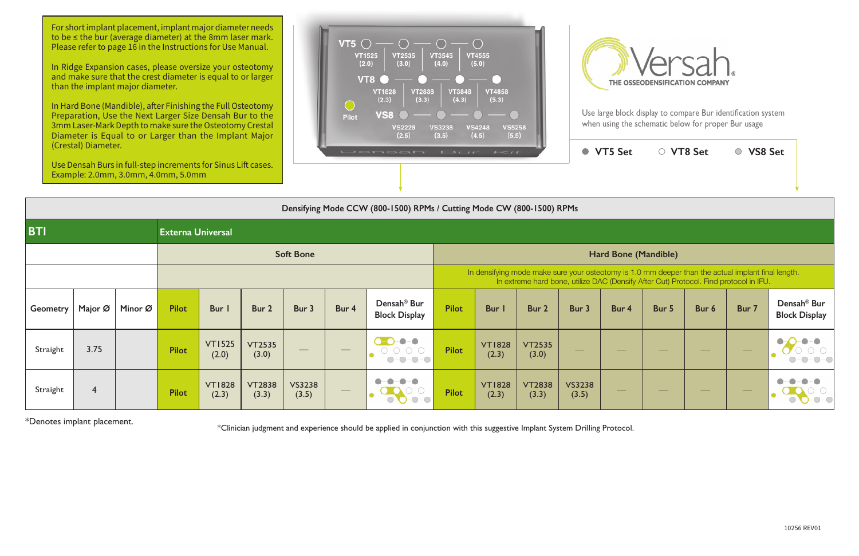For short implant placement, implant major diameter needs to be ≤ the bur (average diameter) at the 8mm laser mark. Please refer to page 16 in the Instructions for Use Manual.

In Hard Bone (Mandible), after Finishing the Full Osteotomy Preparation, Use the Next Larger Size Densah Bur to the 3mm Laser-Mark Depth to make sure the Osteotomy Crestal Diameter is Equal to or Larger than the Implant Major





Use large block display to compare Bur identification system when using the schematic below for proper Bur usage

In Ridge Expansion cases, please oversize your osteotomy and make sure that the crest diameter is equal to or larger than the implant major diameter.

|                 | (Crestal) Diameter.<br>Example: 2.0mm, 3.0mm, 4.0mm, 5.0mm |         |                          | Use Densah Burs in full-step increments for Sinus Lift cases. |                        |                        |                   | <b>CONTRACTO ESCAP</b>                                                                                      |                                                                                                                                                                                             | $1 - 11$               |                        | ● VT5 Set              | ○ VT8 Set |       | ○ VS8 Set |                  |                                                 |  |  |  |
|-----------------|------------------------------------------------------------|---------|--------------------------|---------------------------------------------------------------|------------------------|------------------------|-------------------|-------------------------------------------------------------------------------------------------------------|---------------------------------------------------------------------------------------------------------------------------------------------------------------------------------------------|------------------------|------------------------|------------------------|-----------|-------|-----------|------------------|-------------------------------------------------|--|--|--|
|                 |                                                            |         |                          |                                                               |                        |                        |                   | Densifying Mode CCW (800-1500) RPMs / Cutting Mode CW (800-1500) RPMs                                       |                                                                                                                                                                                             |                        |                        |                        |           |       |           |                  |                                                 |  |  |  |
| <b>BTI</b>      |                                                            |         | <b>Externa Universal</b> |                                                               |                        |                        |                   |                                                                                                             |                                                                                                                                                                                             |                        |                        |                        |           |       |           |                  |                                                 |  |  |  |
|                 |                                                            |         |                          |                                                               |                        | <b>Soft Bone</b>       |                   |                                                                                                             | Hard Bone (Mandible)                                                                                                                                                                        |                        |                        |                        |           |       |           |                  |                                                 |  |  |  |
|                 |                                                            |         |                          |                                                               |                        |                        |                   |                                                                                                             | In densifying mode make sure your osteotomy is 1.0 mm deeper than the actual implant final length.<br>In extreme hard bone, utilize DAC (Densify After Cut) Protocol. Find protocol in IFU. |                        |                        |                        |           |       |           |                  |                                                 |  |  |  |
| <b>Geometry</b> | Major Ø                                                    | Minor Ø | <b>Pilot</b>             | Bur I                                                         | Bur 2                  | Bur 3                  | Bur 4             | Densah <sup>®</sup> Bur<br><b>Block Display</b>                                                             | <b>Pilot</b>                                                                                                                                                                                | Bur I                  | Bur 2                  | Bur 3                  | Bur 4     | Bur 5 | Bur 6     | Bur 7            | Densah <sup>®</sup> Bur<br><b>Block Display</b> |  |  |  |
| Straight        | 3.75                                                       |         | <b>Pilot</b>             | <b>VT1525</b><br>(2.0)                                        | <b>VT2535</b><br>(3.0) |                        |                   | $-\bullet-\bullet$<br>$\Box$<br>$\begin{array}{ccc} \circ & \circ & \circ & \circ \end{array}$<br>$O-O-O-O$ | <b>Pilot</b>                                                                                                                                                                                | <b>VT1828</b><br>(2.3) | <b>VT2535</b><br>(3.0) |                        |           |       |           |                  |                                                 |  |  |  |
| Straight        | $\overline{4}$                                             |         | <b>Pilot</b>             | <b>VT1828</b><br>(2.3)                                        | <b>VT2838</b><br>(3.3) | <b>VS3238</b><br>(3.5) | $\hspace{0.05cm}$ |                                                                                                             | <b>Pilot</b>                                                                                                                                                                                | <b>VT1828</b><br>(2.3) | <b>VT2838</b><br>(3.3) | <b>VS3238</b><br>(3.5) |           |       |           | $\hspace{0.1cm}$ |                                                 |  |  |  |